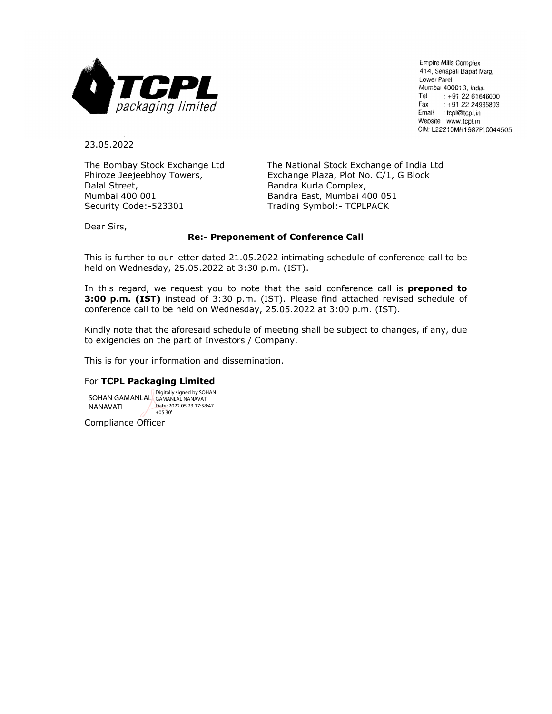

Empire Mills Complex 414, Senapati Bapat Marg, Lower Parel Mumbai 400013, India. Tel  $: +912261646000$ Fax  $: +912224935893$ Email : tcpl@tcpl.in Website: www.tcpl.in CIN: L22210MH1987PLC044505

23.05.2022

Dalal Street, **Bandra Kurla Complex,** Bandra Kurla Complex, Mumbai 400 001 Bandra East, Mumbai 400 051 Security Code:-523301 Trading Symbol:- TCPLPACK

The Bombay Stock Exchange Ltd The National Stock Exchange of India Ltd Phiroze Jeejeebhoy Towers, Exchange Plaza, Plot No. C/1, G Block

Dear Sirs,

#### **Re:- Preponement of Conference Call**

This is further to our letter dated 21.05.2022 intimating schedule of conference call to be held on Wednesday, 25.05.2022 at 3:30 p.m. (IST).

In this regard, we request you to note that the said conference call is **preponed to 3:00 p.m. (IST)** instead of 3:30 p.m. (IST). Please find attached revised schedule of conference call to be held on Wednesday, 25.05.2022 at 3:00 p.m. (IST).

Kindly note that the aforesaid schedule of meeting shall be subject to changes, if any, due to exigencies on the part of Investors / Company.

This is for your information and dissemination.

#### For **TCPL Packaging Limited**

SOHAN GAMANLAL Digitally signed by SOHAN NANAVATI Date: 2022.05.23.17:58:47 +05'30'

Compliance Officer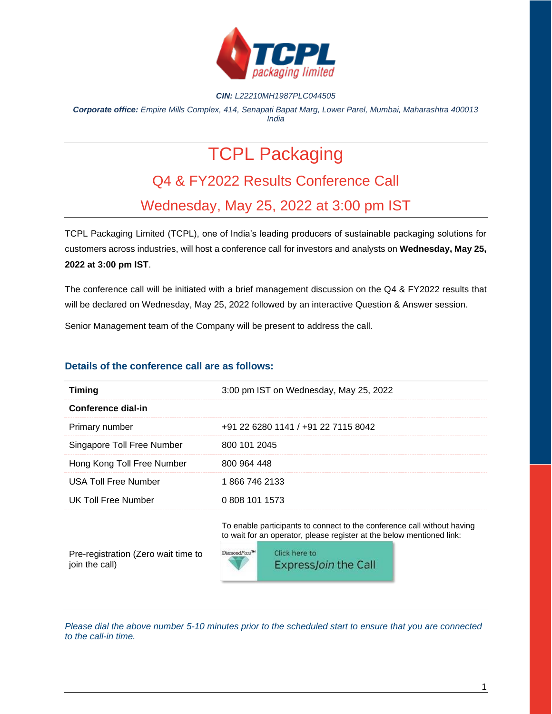

#### *CIN: L22210MH1987PLC044505*

*Corporate office: Empire Mills Complex, 414, Senapati Bapat Marg, Lower Parel, Mumbai, Maharashtra 400013 India*

# TCPL Packaging

# Q4 & FY2022 Results Conference Call

# Wednesday, May 25, 2022 at 3:00 pm IST

TCPL Packaging Limited (TCPL), one of India's leading producers of sustainable packaging solutions for customers across industries, will host a conference call for investors and analysts on **Wednesday, May 25, 2022 at 3:00 pm IST**.

The conference call will be initiated with a brief management discussion on the Q4 & FY2022 results that will be declared on Wednesday, May 25, 2022 followed by an interactive Question & Answer session.

Senior Management team of the Company will be present to address the call.

### **Details of the conference call are as follows:**

| <b>Timing</b>               | 3:00 pm IST on Wednesday, May 25, 2022 |
|-----------------------------|----------------------------------------|
| Conference dial-in          |                                        |
| Primary number              | +91 22 6280 1141 / +91 22 7115 8042    |
| Singapore Toll Free Number  | 800 101 2045                           |
| Hong Kong Toll Free Number  | 800 964 448                            |
| <b>USA Toll Free Number</b> | 1866 746 2133                          |
| UK Toll Free Number         | 0 808 101 1573                         |

To enable participants to connect to the conference call without having to wait for an operator, please register at the below mentioned link:

Pre-registration (Zero wait time to join the call)



*Please dial the above number 5-10 minutes prior to the scheduled start to ensure that you are connected to the call-in time.*